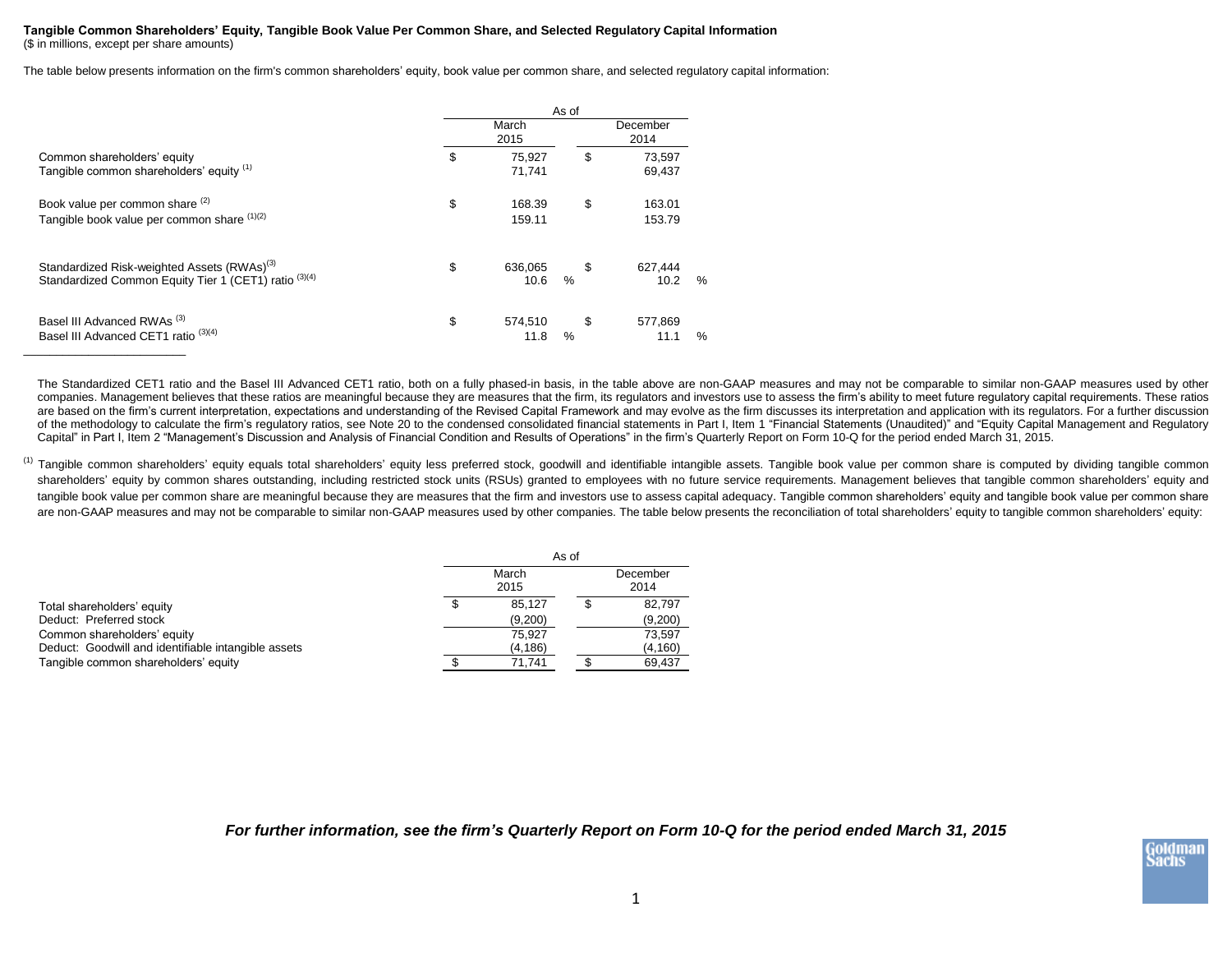## **Tangible Common Shareholders' Equity, Tangible Book Value Per Common Share, and Selected Regulatory Capital Information** (\$ in millions, except per share amounts)

The table below presents information on the firm's common shareholders' equity, book value per common share, and selected regulatory capital information:

|                                                                                                                  |               | As of            |            |                  |      |  |
|------------------------------------------------------------------------------------------------------------------|---------------|------------------|------------|------------------|------|--|
| Common shareholders' equity<br>Tangible common shareholders' equity (1)                                          | March<br>2015 |                  |            | December<br>2014 |      |  |
|                                                                                                                  | \$            | 75,927<br>71,741 | \$         | 73,597<br>69,437 |      |  |
| Book value per common share (2)<br>Tangible book value per common share (1)(2)                                   | \$            | 168.39<br>159.11 | \$         | 163.01<br>153.79 |      |  |
| Standardized Risk-weighted Assets (RWAs) <sup>(3)</sup><br>Standardized Common Equity Tier 1 (CET1) ratio (3)(4) | \$            | 636.065<br>10.6  | \$<br>$\%$ | 627.444<br>10.2  | $\%$ |  |
| Basel III Advanced RWAs <sup>(3)</sup><br>Basel III Advanced CET1 ratio <sup>(3)(4)</sup>                        | \$            | 574,510<br>11.8  | \$<br>%    | 577.869<br>11.1  | $\%$ |  |

The Standardized CET1 ratio and the Basel III Advanced CET1 ratio, both on a fully phased-in basis, in the table above are non-GAAP measures and may not be comparable to similar non-GAAP measures used by other companies. Management believes that these ratios are meaningful because they are measures that the firm, its regulators and investors use to assess the firm's ability to meet future regulatory capital requirements. These r are based on the firm's current interpretation, expectations and understanding of the Revised Capital Framework and may evolve as the firm discusses its interpretation and application with its regulators. For a further dis of the methodology to calculate the firm's regulatory ratios, see Note 20 to the condensed consolidated financial statements in Part I, Item 1 "Financial Statements (Unaudited)" and "Equity Capital Management and Regulatory Capital" in Part I, Item 2 "Management's Discussion and Analysis of Financial Condition and Results of Operations" in the firm's Quarterly Report on Form 10-Q for the period ended March 31, 2015.

<sup>(1)</sup> Tangible common shareholders' equity equals total shareholders' equity less preferred stock, goodwill and identifiable intangible assets. Tangible book value per common share is computed by dividing tangible common shareholders' equity by common shares outstanding, including restricted stock units (RSUs) granted to employees with no future service requirements. Management believes that tangible common shareholders' equity and tangible book value per common share are meaningful because they are measures that the firm and investors use to assess capital adequacy. Tangible common shareholders' equity and tangible book value per common share are non-GAAP measures and may not be comparable to similar non-GAAP measures used by other companies. The table below presents the reconciliation of total shareholders' equity to tangible common shareholders' equity:

|                                                     | As of |               |  |                  |
|-----------------------------------------------------|-------|---------------|--|------------------|
|                                                     |       | March<br>2015 |  | December<br>2014 |
| Total shareholders' equity                          | S     | 85.127        |  | 82.797           |
| Deduct: Preferred stock                             |       | (9,200)       |  | (9,200)          |
| Common shareholders' equity                         |       | 75.927        |  | 73.597           |
| Deduct: Goodwill and identifiable intangible assets |       | (4, 186)      |  | (4, 160)         |
| Tangible common shareholders' equity                |       | 71.741        |  | 69.437           |

*For further information, see the firm's Quarterly Report on Form 10-Q for the period ended March 31, 2015*